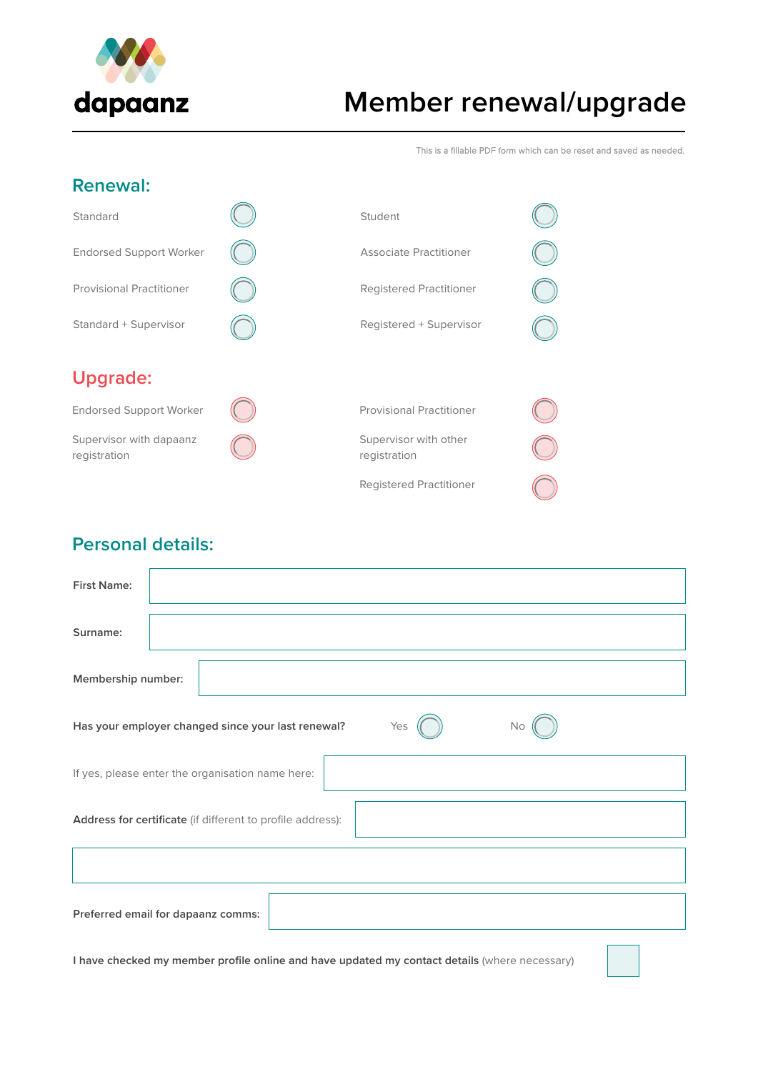

# **Member renewal/upgrade**

This is a fillable PDF form which can be reset and saved as needed.

## **Renewal:**

| Standard                                | Student                               |  |
|-----------------------------------------|---------------------------------------|--|
| <b>Endorsed Support Worker</b>          | Associate Practitioner                |  |
| <b>Provisional Practitioner</b>         | Registered Practitioner               |  |
| Standard + Supervisor                   | Registered + Supervisor               |  |
|                                         |                                       |  |
| <b>Upgrade:</b>                         |                                       |  |
| <b>Endorsed Support Worker</b>          |                                       |  |
|                                         | <b>Provisional Practitioner</b>       |  |
| Supervisor with dapaanz<br>registration | Supervisor with other<br>registration |  |

# **Personal details:**

| <b>First Name:</b> |                                                                        |
|--------------------|------------------------------------------------------------------------|
| Surname:           |                                                                        |
| Membership number: |                                                                        |
|                    | Yes<br>Has your employer changed since your last renewal?<br><b>No</b> |
|                    | If yes, please enter the organisation name here:                       |
|                    | Address for certificate (if different to profile address):             |
|                    |                                                                        |
|                    | Preferred email for dapaanz comms:                                     |

**I have checked my member profile online and have updated my contact details** (where necessary)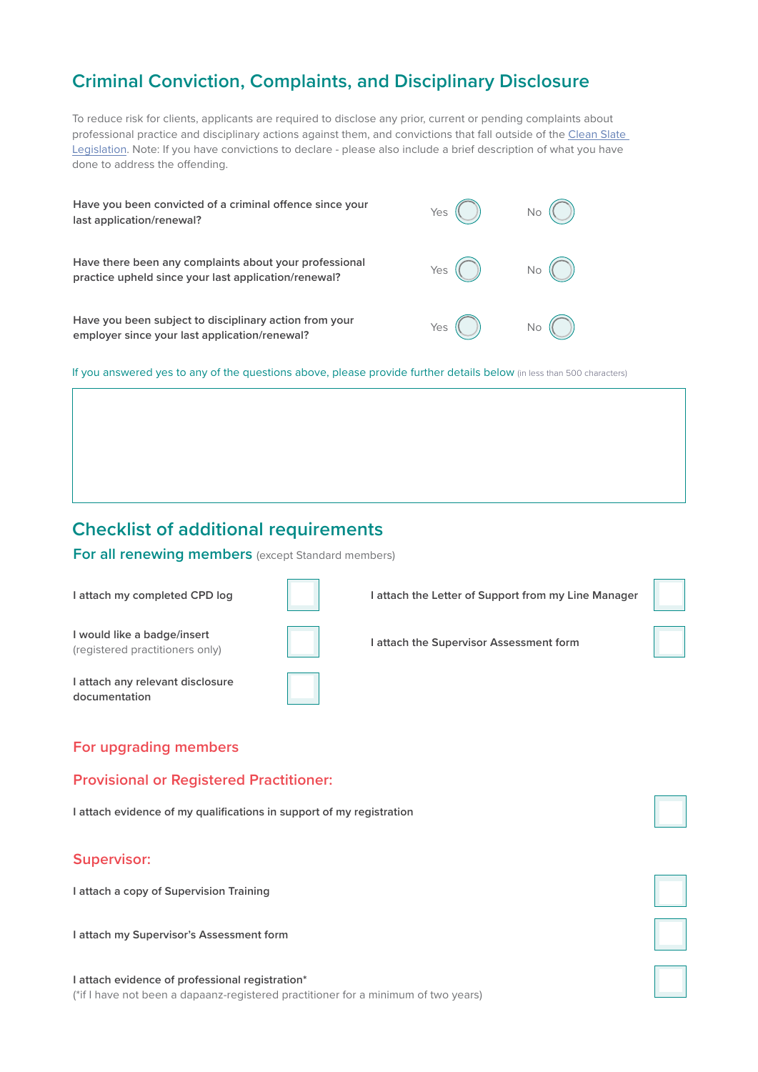# **Criminal Conviction, Complaints, and Disciplinary Disclosure**

To reduce risk for clients, applicants are required to disclose any prior, current or pending complaints about professional practice and disciplinary actions against them, and convictions that fall outside of the [Clean Slate](https://www.legislation.govt.nz/act/public/2004/0036/latest/DLM280899.html)  [Legislation.](https://www.legislation.govt.nz/act/public/2004/0036/latest/DLM280899.html) Note: If you have convictions to declare - please also include a brief description of what you have done to address the offending.

| Have you been convicted of a criminal offence since your<br>last application/renewal?                          | Yes |  |
|----------------------------------------------------------------------------------------------------------------|-----|--|
| Have there been any complaints about your professional<br>practice upheld since your last application/renewal? | Yes |  |
| Have you been subject to disciplinary action from your<br>employer since your last application/renewal?        | Yes |  |

If you answered yes to any of the questions above, please provide further details below (in less than 500 characters)

## **Checklist of additional requirements**

**For all renewing members** (except Standard members)

| I attach my completed CPD log                                  | I attach the Letter of Support from my Line Manager |  |
|----------------------------------------------------------------|-----------------------------------------------------|--|
| I would like a badge/insert<br>(registered practitioners only) | attach the Supervisor Assessment form               |  |
| I attach any relevant disclosure<br>documentation              |                                                     |  |

## **For upgrading members**

#### **Provisional or Registered Practitioner:**

**I attach evidence of my qualifications in support of my registration**

#### **Supervisor:**

**I attach a copy of Supervision Training**

**I attach my Supervisor's Assessment form** 

#### **I attach evidence of professional registration\*** (\*if I have not been a dapaanz-registered practitioner for a minimum of two years)